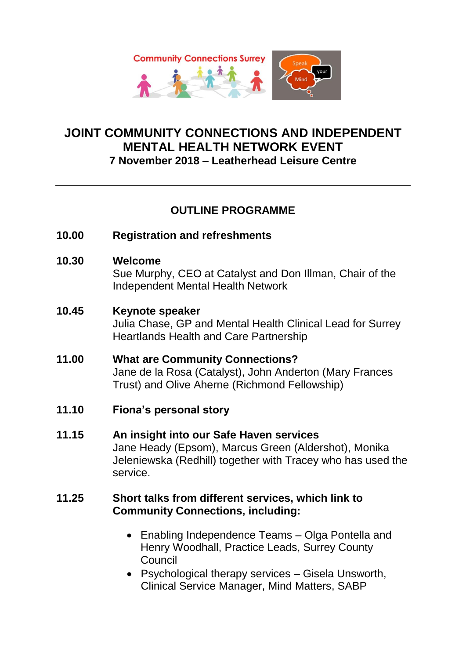

### **JOINT COMMUNITY CONNECTIONS AND INDEPENDENT MENTAL HEALTH NETWORK EVENT 7 November 2018 – Leatherhead Leisure Centre**

## **OUTLINE PROGRAMME**

- **10.00 Registration and refreshments**
- **10.30 Welcome**

Sue Murphy, CEO at Catalyst and Don Illman, Chair of the Independent Mental Health Network

### **10.45 Keynote speaker**

Julia Chase, GP and Mental Health Clinical Lead for Surrey Heartlands Health and Care Partnership

# **11.00 What are Community Connections?**

Jane de la Rosa (Catalyst), John Anderton (Mary Frances Trust) and Olive Aherne (Richmond Fellowship)

- **11.10 Fiona's personal story**
- **11.15 An insight into our Safe Haven services** Jane Heady (Epsom), Marcus Green (Aldershot), Monika Jeleniewska (Redhill) together with Tracey who has used the service.

### **11.25 Short talks from different services, which link to Community Connections, including:**

- Enabling Independence Teams Olga Pontella and Henry Woodhall, Practice Leads, Surrey County Council
- Psychological therapy services Gisela Unsworth, Clinical Service Manager, Mind Matters, SABP